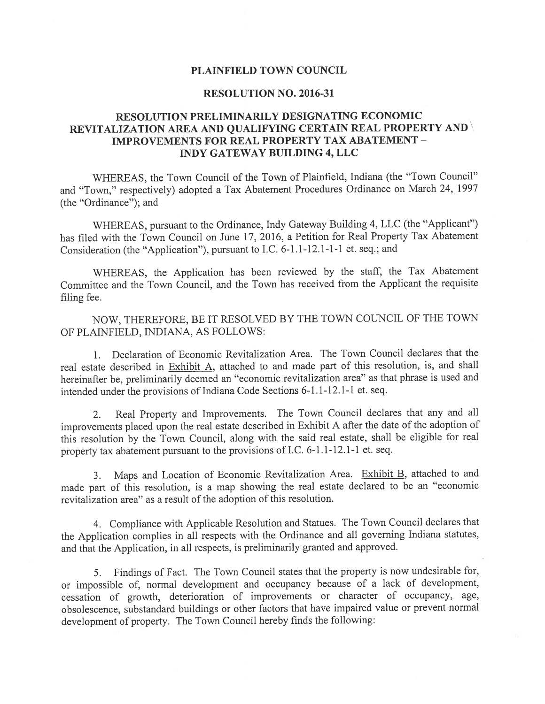## PLAINFIELD TOWN COUNCIL

## RESOLUTION NO. 2016-31

## RESOLUTION PRELIMINARILY DESIGNATING ECONOMIC REVITALIZATION AREA AND QUALIFYING CERTAIN REAL PROPERTY AND IMPROVEMENTS FOR REAL PROPERTY TAX ABATEMENT - INDY GATEWAY BUILDING 4, LLC

WHEREAS, the Town Council of the Town of Plainfield, Indiana (the "Town Council" and "Town," respectively) adopted <sup>a</sup> Tax Abatement Procedures Ordinance on March 24, <sup>1997</sup> (the 'Ordinance"); and

WHEREAS, pursuan<sup>t</sup> to the Ordinance, Indy Gateway Building 4, LLC (the "Applicant") has filed with the Town Council on June 17, 2016, <sup>a</sup> Petition for Real Property Tax Abatement Consideration (the "Application"), pursuan<sup>t</sup> to I.C. 6-1.1-12.1-1-1 et. seq.; and

WHEREAS, the Application has been reviewed by the staff, the Tax Abatement Committee and the Town Council, and the Town has received from the Applicant the requisite filing fee.

NOW, THEREFORE, BE IT RESOLVED BY THE TOWN COUNCIL OF THE TOWN OF PLAINFIELD, INDIANA, AS FOLLOWS:

1. Declaration of Economic Revitalization Area. The Town Council declares that the real estate described in Exhibit A, attached to and made par<sup>t</sup> of this resolution, is, and shall hereinafter be, preliminarily deemed an "economic revitalization area" as that <sup>p</sup>hrase is used and intended under the provisions of Indiana Code Sections 6-1.1-12.1-1 et. seq.

2. Real Property and Improvements. The Town Council declares that any and all improvements <sup>p</sup>laced upon the real estate described in Exhibit <sup>A</sup> after the date of the adoption of this resolution by the Town Council, along with the said real estate, shall be eligible for real property tax abatement pursuan<sup>t</sup> to the provisions of I.C. 6-1.1-12.1-1 et. seq.

3. Maps and Location of Economic Revitalization Area. Exhibit B, attached to and made par<sup>t</sup> of this resolution, is <sup>a</sup> map showing the real estate declared to be an "economic revitalization area" as <sup>a</sup> result of the adoption of this resolution.

4. Compliance with Applicable Resolution and Statues. The Town Council declares that the Application complies in all respects with the Ordinance and all governing Indiana statutes, and that the Application, in all respects, is preliminarily granted and approved.

5. Findings of Fact. The Town Council states that the property is now undesirable for, or impossible of, normal development and occupancy because of <sup>a</sup> lack of development, cessation of growth, deterioration of improvements or character of occupancy, age, obsolescence, substandard buildings or other factors that have impaired value or preven<sup>t</sup> normal development of property. The Town Council hereby finds the following: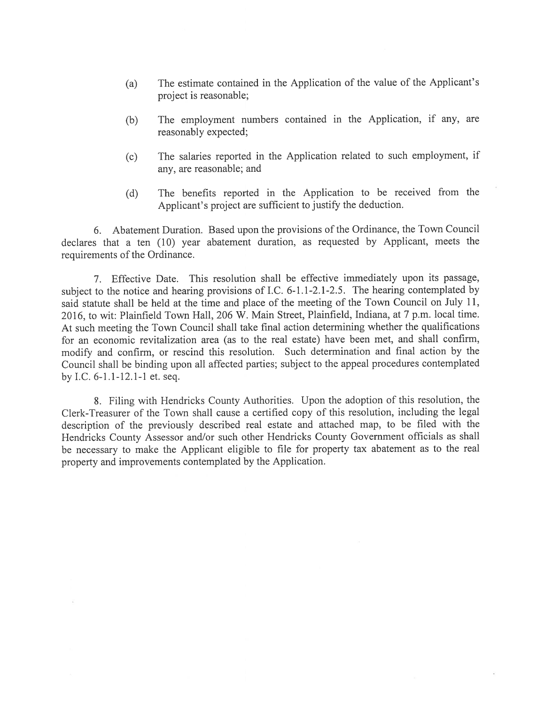- (a) The estimate contained in the Application of the value of the Applicant's project is reasonable;
- (b) The employment numbers contained in the Application, if any, are reasonably expected;
- (c) The salaries reported in the Application related to such employment, if any, are reasonable; and
- (d) The benefits reported in the Application to be received from the Applicant's project are sufficient to justify the deduction.

6. Abatement Duration. Based upon the provisions of the Ordinance, the Town Council declares that a ten (10) year abatement duration, as requested by Applicant, meets the requirements of the Ordinance.

7. Effective Date. This resolution shall be effective immediately upon its passage, subject to the notice and hearing provisions of I.C. 6-1.1-2.1-2.5. The hearing contemplated by said statute shall be held at the time and place of the meeting of the Town Council on July 11, 2016, to wit: Plainfield Town Hall, 206 W. Main Street, Plainfield, Indiana, at <sup>7</sup> p.m. local time. At such meeting the Town Council shall take final action determining whether the qualifications for an economic revitalization area (as to the real estate) have been met, and shall confirm, modify and confirm, or rescind this resolution. Such determination and final action by the Council shall be binding upon all affected parties; subject to the appeal procedures contemplated by I.C. 6-1.1-12.1-1 et. seq.

8. Filing with Hendricks County Authorities. Upon the adoption of this resolution, the Clerk-Treasurer of the Town shall cause a certified copy of this resolution, including the legal description of the previously described real estate and attached map, to be filed with the Hendricks County Assessor and/or such other Hendricks County Government officials as shall be necessary to make the Applicant eligible to file for property tax abatement as to the real property and improvements contemplated by the Application.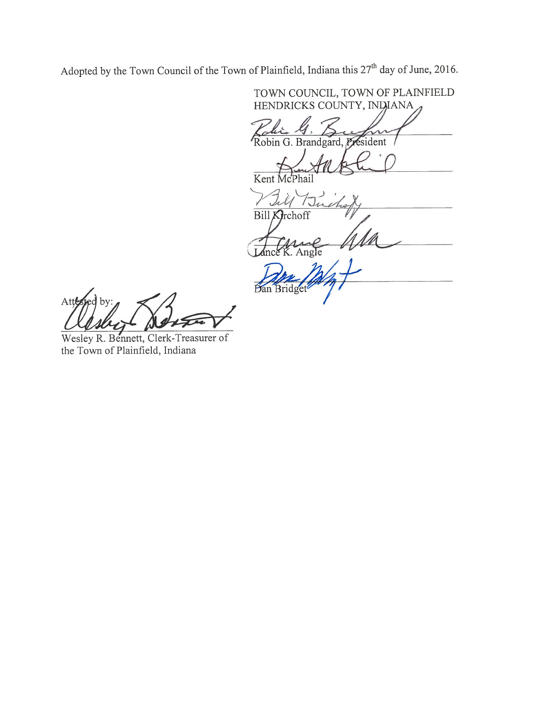Adopted by the Town Council of the Town of Plainfield, Indiana this  $27<sup>th</sup>$  day of June, 2016.

TOWN COUNCIL, TOWN OF PLATNFIELD HENDRICKS COUNTY, INDIANA Kalic G. Robin G. Brandgard, President Kent McPhail Buil I.U 7  $BillK$ 

Ang

by: Att

Wesley R. Bennett, Clerk-Treasurer of the Town of Plainfield, Indiana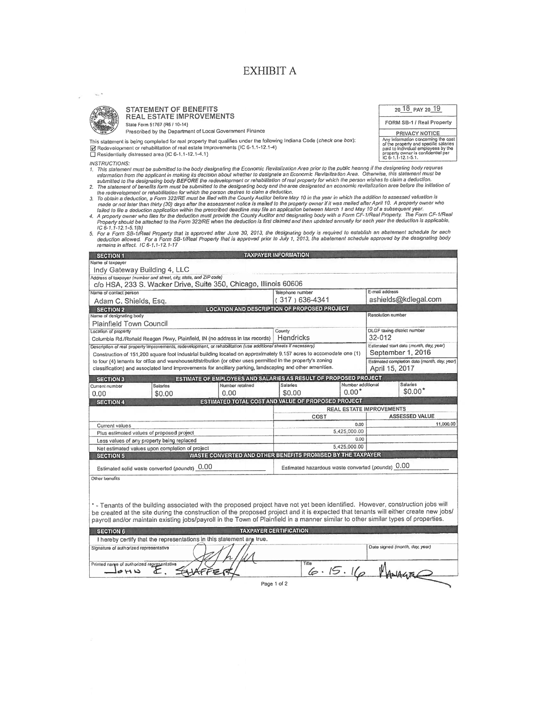# EXHIBIT A

20 18 PAY 20 19 FORM SB-1 / Real Property PRIVACY NOTICE Any information concerning the cost<br>of the property and specific sateries<br>paid to individual employees by the<br>property owner is confidential per<br>IC 6-1,1-12.1-5.1.



#### STATEMENT OF BENEFITS REAL ESTATE IMPROVEMENTS State Form 51767 (R6 / 10-14)

Prescribed by the Department of Local Government Finance

This statement is being completed for real property that qualifies under the following Indiana Code (*check one box*):<br>[6] Redevelopment or rehabilitation of real estate Improvements (IC 6-1.1-12.1-4)<br>□ Recidentially dist

□ Residentially distressed area (IC 6-1.1-12.1-4.1)

INSTRUCTIONS:

- . This slatement must be submitted to the body designating the Economic Revitalization Area prior to the public heanng if the designating body requires<br>Information from the applicant in making its decision about whether to
- 
- 
- the redevelopment or rehabilitation for which the person desires to claim a deduction.<br>3. To obtain a deduction, a Form 322/RE must be lifed with the County Auditor below and the year in which the addition to assessed val
- 

| <b>SECTION 1</b>                                                                                                   |                                                                                                                  |                                                   | <b>TAXPAYER INFORMATION</b>                                      |                      |                                         |                                              |  |
|--------------------------------------------------------------------------------------------------------------------|------------------------------------------------------------------------------------------------------------------|---------------------------------------------------|------------------------------------------------------------------|----------------------|-----------------------------------------|----------------------------------------------|--|
| Name of taxpayer                                                                                                   |                                                                                                                  |                                                   |                                                                  |                      |                                         |                                              |  |
| Indy Gateway Building 4, LLC                                                                                       |                                                                                                                  |                                                   |                                                                  |                      |                                         |                                              |  |
|                                                                                                                    | Address of taxpayer (number and street, city, state, and ZIP code)                                               |                                                   |                                                                  |                      |                                         |                                              |  |
| c/o HSA, 233 S. Wacker Drive, Suite 350, Chicago, Illinois 60606                                                   |                                                                                                                  |                                                   |                                                                  |                      |                                         |                                              |  |
| Name of contact person                                                                                             |                                                                                                                  |                                                   | Talephone number                                                 |                      | E-mail address                          |                                              |  |
| Adam C. Shields, Esq.                                                                                              |                                                                                                                  | (317) 636-4341                                    |                                                                  | ashields@kdlegal.com |                                         |                                              |  |
| <b>SECTION 2</b>                                                                                                   |                                                                                                                  |                                                   | LOCATION AND DESCRIPTION OF PROPOSED PROJECT                     |                      |                                         |                                              |  |
| Name of designating body                                                                                           |                                                                                                                  |                                                   |                                                                  |                      | Resolution number                       |                                              |  |
| <b>Plainfield Town Council</b>                                                                                     |                                                                                                                  |                                                   |                                                                  |                      |                                         |                                              |  |
| Location of property                                                                                               |                                                                                                                  |                                                   | County                                                           |                      | <b>DLGF</b> taxing district number      |                                              |  |
|                                                                                                                    | Columbia Rd./Ronald Reagan Pkwy, Plainfield, IN (no address in lax records)                                      |                                                   | Hendricks                                                        |                      | 32-012                                  |                                              |  |
|                                                                                                                    | Description of real property improvements, redevelopment, or rehabilitation (use additional sheets if necessary) |                                                   |                                                                  |                      | Estimated start date (month, day, year) |                                              |  |
| Construction of 151,200 square foot industrial building located on approximately 9.157 acres to accomodate one (1) |                                                                                                                  |                                                   |                                                                  |                      |                                         | September 1, 2016                            |  |
|                                                                                                                    | to four (4) tenants for office and warehouse/distribution (or other uses permitted in the property's zoning      |                                                   |                                                                  |                      |                                         | Estimated completion date (month, day, year) |  |
|                                                                                                                    | classification) and associated land improvements for ancillary parking, landscaping and other amenities.         |                                                   |                                                                  |                      | April 15, 2017                          |                                              |  |
| <b>SECTION 3</b>                                                                                                   |                                                                                                                  |                                                   | ESTIMATE OF EMPLOYEES AND SALARIES AS RESULT OF PROPOSED PROJECT |                      |                                         |                                              |  |
| Current number                                                                                                     | Salados                                                                                                          | Number retained                                   | Salarios                                                         | Number additional    |                                         | <b>Salaries</b>                              |  |
| 0.00                                                                                                               | \$0.00                                                                                                           | 0.00                                              | \$0.00                                                           | $0.00*$              |                                         | $$0.00*$                                     |  |
| ESTIMATED TOTAL COST AND VALUE OF PROPOSED PROJECT<br><b>SECTION 4</b>                                             |                                                                                                                  |                                                   |                                                                  |                      |                                         |                                              |  |
|                                                                                                                    |                                                                                                                  |                                                   | <b>REAL ESTATE IMPROVEMENTS</b>                                  |                      |                                         |                                              |  |
|                                                                                                                    | COST                                                                                                             |                                                   |                                                                  | ASSESSED VALUE       |                                         |                                              |  |
| Current values                                                                                                     |                                                                                                                  |                                                   | 0.00                                                             |                      |                                         | 11,000.00                                    |  |
| Plus estimated values of proposed project                                                                          |                                                                                                                  |                                                   | 5.425,000.00                                                     |                      |                                         |                                              |  |
| Less values of any property being replaced                                                                         |                                                                                                                  |                                                   | 0.00                                                             |                      |                                         |                                              |  |
| Net estimated values upon completion of project                                                                    |                                                                                                                  |                                                   | 5,425,000.00                                                     |                      |                                         |                                              |  |
| <b>SECTION 5</b>                                                                                                   |                                                                                                                  |                                                   | WASTE CONVERTED AND OTHER BENEFITS PROMISED BY THE TAXPAYER      |                      |                                         |                                              |  |
| Estimated solid waste converted (pounds) 0.00                                                                      |                                                                                                                  | Estimated hazardous waste converted (pounds) 0.00 |                                                                  |                      |                                         |                                              |  |
| Other benefits                                                                                                     |                                                                                                                  |                                                   |                                                                  |                      |                                         |                                              |  |

-Tenants of the building associated with the proposed project have not yet been identified. However, construction jobs will be Created at the site during the Construction of the proposed project and it is expected that tenants will either create new johs/ payroll and/or maintain existing jobs/payroll in the Town of Plainfield in a manner similar to other similar types of properties.

| <b>SECTION 6</b>                                                      | <b>TAXPAYER CERTIFICATION</b> |                                |  |  |
|-----------------------------------------------------------------------|-------------------------------|--------------------------------|--|--|
| I hereby certify that the representations in this statement are true. |                               |                                |  |  |
| Signature of authorized representative                                |                               | Date signed (month, day, year) |  |  |
| Printed narge of authorized representative<br>コマドク                    | Title                         |                                |  |  |
|                                                                       | Page 1 of 2                   |                                |  |  |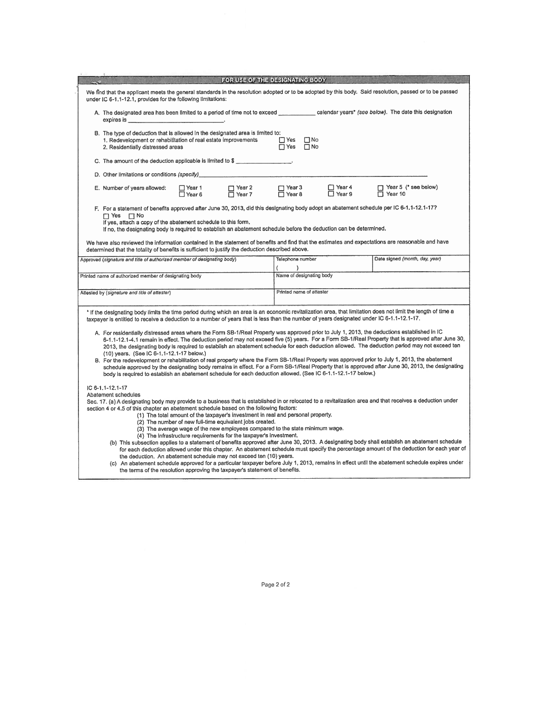| FOR USE OF THE DESIGNATING BODY                                                                                                                                                                                                                                                                                                                                                                                                                                                                                                                                                                                                                                                                                                                                                                                                                                                                                                                                                                                                                                                                                                                                                                                                        |                                              |                                               |  |  |  |  |  |
|----------------------------------------------------------------------------------------------------------------------------------------------------------------------------------------------------------------------------------------------------------------------------------------------------------------------------------------------------------------------------------------------------------------------------------------------------------------------------------------------------------------------------------------------------------------------------------------------------------------------------------------------------------------------------------------------------------------------------------------------------------------------------------------------------------------------------------------------------------------------------------------------------------------------------------------------------------------------------------------------------------------------------------------------------------------------------------------------------------------------------------------------------------------------------------------------------------------------------------------|----------------------------------------------|-----------------------------------------------|--|--|--|--|--|
| We find that the applicant meets the general standards in the resolution adopted or to be adopted by this body. Said resolution, passed or to be passed<br>under IC 6-1.1-12.1, provides for the following Ilmitations:                                                                                                                                                                                                                                                                                                                                                                                                                                                                                                                                                                                                                                                                                                                                                                                                                                                                                                                                                                                                                |                                              |                                               |  |  |  |  |  |
| A. The designated area has been limited to a period of time not to exceed _______________ calendar years* (see below). The date this designation<br>expires is services and the services of the services of the services of the services of the services of the services of the services of the services of the services of the services of the services of the services of the se                                                                                                                                                                                                                                                                                                                                                                                                                                                                                                                                                                                                                                                                                                                                                                                                                                                     |                                              |                                               |  |  |  |  |  |
| B. The type of deduction that is allowed in the designated area is limited to:<br>$\square$ No<br>1. Redevelopment or rehabilitation of real estate improvements<br>$\Box$ Yes<br>$\Box$ No<br>$\Box$ Yes<br>2. Residentially distressed areas                                                                                                                                                                                                                                                                                                                                                                                                                                                                                                                                                                                                                                                                                                                                                                                                                                                                                                                                                                                         |                                              |                                               |  |  |  |  |  |
| C. The amount of the deduction applicable is limited to \$                                                                                                                                                                                                                                                                                                                                                                                                                                                                                                                                                                                                                                                                                                                                                                                                                                                                                                                                                                                                                                                                                                                                                                             |                                              |                                               |  |  |  |  |  |
| D. Other limitations or conditions (specify)                                                                                                                                                                                                                                                                                                                                                                                                                                                                                                                                                                                                                                                                                                                                                                                                                                                                                                                                                                                                                                                                                                                                                                                           |                                              |                                               |  |  |  |  |  |
| $\Box$ Year 2<br>$\Box$ Year 7<br>E. Number of years allowed:<br>□ Year 1<br>□ Year 6                                                                                                                                                                                                                                                                                                                                                                                                                                                                                                                                                                                                                                                                                                                                                                                                                                                                                                                                                                                                                                                                                                                                                  | □ Year 4<br>□ Year 9<br>□ Year 3<br>□ Year 8 | $\Box$ Year 5 (* see below)<br>$\Box$ Year 10 |  |  |  |  |  |
| F. For a statement of benefits approved after June 30, 2013, did this designating body adopt an abatement schedule per IC 6-1.1-12.1-17?<br>$\Box$ Yes $\Box$ No<br>If yes, attach a copy of the abatement schedule to this form,<br>If no, the designating body is required to establish an abatement schedule before the deduction can be determined.<br>We have also reviewed the information contained in the statement of benefits and find that the estimates and expectations are reasonable and have<br>determined that the totality of benefits is sufficient to justify the deduction described above.                                                                                                                                                                                                                                                                                                                                                                                                                                                                                                                                                                                                                       |                                              |                                               |  |  |  |  |  |
| Approved (signature and title of authorized member of designating body)                                                                                                                                                                                                                                                                                                                                                                                                                                                                                                                                                                                                                                                                                                                                                                                                                                                                                                                                                                                                                                                                                                                                                                | Telephone number                             | Date signed (month, day, year)                |  |  |  |  |  |
| Printed name of authorized member of designating body                                                                                                                                                                                                                                                                                                                                                                                                                                                                                                                                                                                                                                                                                                                                                                                                                                                                                                                                                                                                                                                                                                                                                                                  | €<br>١.<br>Name of designating body          |                                               |  |  |  |  |  |
|                                                                                                                                                                                                                                                                                                                                                                                                                                                                                                                                                                                                                                                                                                                                                                                                                                                                                                                                                                                                                                                                                                                                                                                                                                        |                                              |                                               |  |  |  |  |  |
| Attested by (signature and title of attester)                                                                                                                                                                                                                                                                                                                                                                                                                                                                                                                                                                                                                                                                                                                                                                                                                                                                                                                                                                                                                                                                                                                                                                                          | Printed name of attester                     |                                               |  |  |  |  |  |
| * If the designating body limits the time period during which an area is an economic revitalization area, that limitation does not limit the length of time a<br>taxpayer is entitled to receive a deduction to a number of years that is less than the number of years designated under IC 6-1.1-12.1-17.<br>A. For residentially distressed areas where the Form SB-1/Real Property was approved prior to July 1, 2013, the deductions established in IC<br>6-1.1-12.1-4.1 remain in effect. The deduction period may not exceed five (5) years. For a Form SB-1/Real Property that is approved after June 30,<br>2013, the designating body is required to establish an abatement schedule for each deduction allowed. The deduction period may not exceed ten<br>(10) years. (See IC 6-1.1-12.1-17 below.)<br>B. For the redevelopment or rehabilitation of real property where the Form SB-1/Real Property was approved prior to July 1, 2013, the abatement<br>schedule approved by the designating body remains in effect. For a Form SB-1/Real Property that is approved after June 30, 2013, the designating<br>body is required to establish an abatement schedule for each deduction allowed. (See IC 6-1.1-12.1-17 below.) |                                              |                                               |  |  |  |  |  |
| IC 6-1.1-12.1-17<br>Abatement schedules<br>Sec. 17. (a) A designating body may provide to a business that is established in or relocated to a revitalization area and that receives a deduction under<br>section 4 or 4.5 of this chapter an abatement schedule based on the following factors:<br>(1) The total amount of the taxpayer's investment in real and personal property.<br>(2) The number of new full-time equivalent jobs created.<br>(3) The average wage of the new employees compared to the state minimum wage.<br>(4) The infrastructure requirements for the taxpayer's investment.<br>(b) This subsection applies to a statement of benefits approved after June 30, 2013. A designating body shall establish an abatement schedule<br>for each deduction allowed under this chapter. An abatement schedule must specify the percentage amount of the deduction for each year of<br>the deduction. An abatement schedule may not exceed ten (10) years.<br>(c) An abatement schedule approved for a particular taxpayer before July 1, 2013, remains in effect until the abatement schedule expires under<br>the terms of the resolution approving the taxpayer's statement of benefits.                           |                                              |                                               |  |  |  |  |  |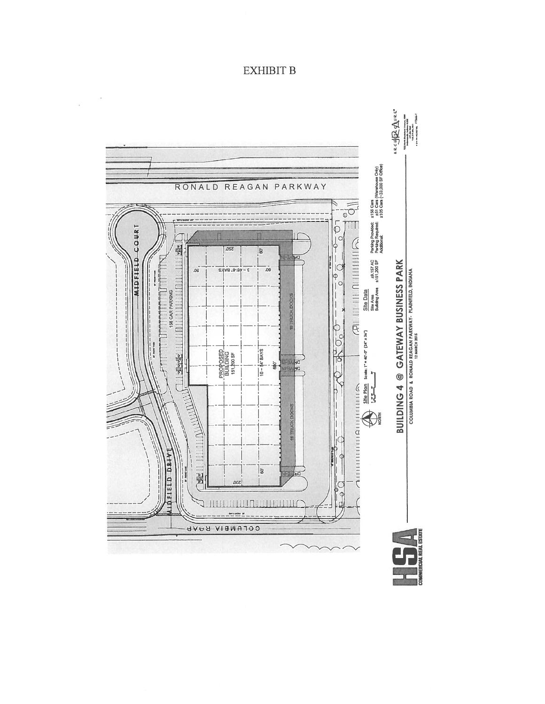## **EXHIBIT B**

 $\tilde{\mathbf{r}}$ 

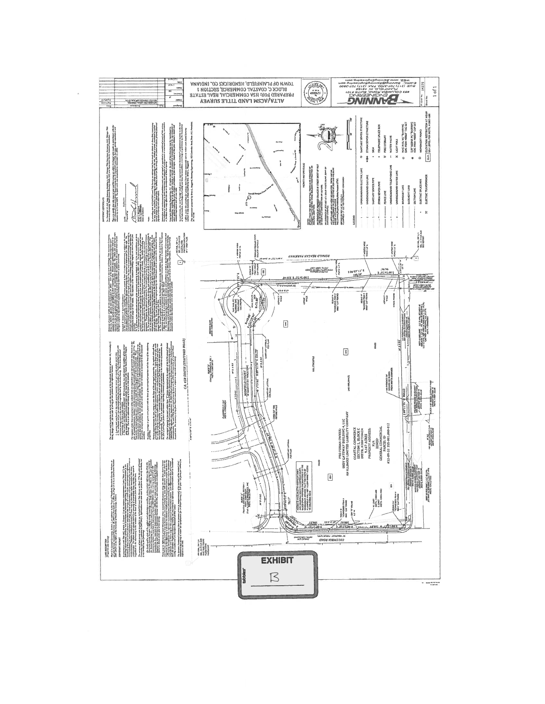